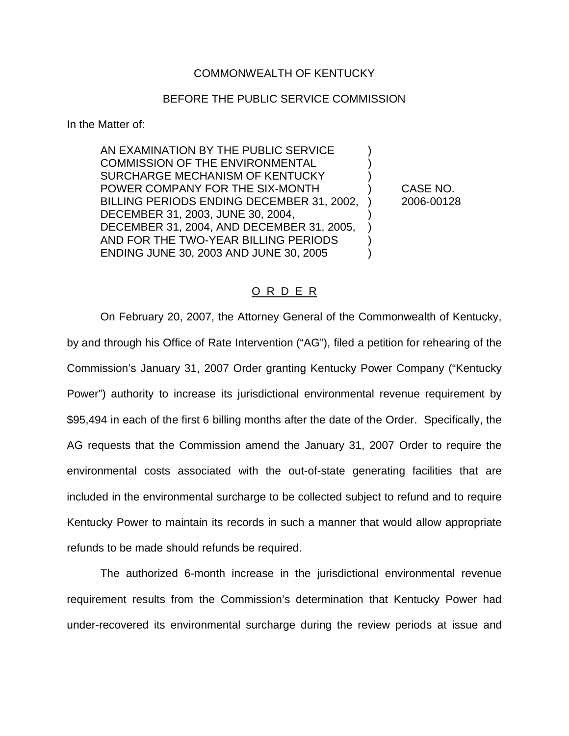## COMMONWEALTH OF KENTUCKY

## BEFORE THE PUBLIC SERVICE COMMISSION

In the Matter of:

AN EXAMINATION BY THE PUBLIC SERVICE ) COMMISSION OF THE ENVIRONMENTAL SURCHARGE MECHANISM OF KENTUCKY ) POWER COMPANY FOR THE SIX-MONTH ) CASE NO. BILLING PERIODS ENDING DECEMBER 31, 2002, ) 2006-00128 DECEMBER 31, 2003, JUNE 30, 2004, ) DECEMBER 31, 2004, AND DECEMBER 31, 2005, ) AND FOR THE TWO-YEAR BILLING PERIODS  $\qquad$  ) ENDING JUNE 30, 2003 AND JUNE 30, 2005 )

## O R D E R

On February 20, 2007, the Attorney General of the Commonwealth of Kentucky, by and through his Office of Rate Intervention ("AG"), filed a petition for rehearing of the Commission's January 31, 2007 Order granting Kentucky Power Company ("Kentucky Power") authority to increase its jurisdictional environmental revenue requirement by \$95,494 in each of the first 6 billing months after the date of the Order. Specifically, the AG requests that the Commission amend the January 31, 2007 Order to require the environmental costs associated with the out-of-state generating facilities that are included in the environmental surcharge to be collected subject to refund and to require Kentucky Power to maintain its records in such a manner that would allow appropriate refunds to be made should refunds be required.

The authorized 6-month increase in the jurisdictional environmental revenue requirement results from the Commission's determination that Kentucky Power had under-recovered its environmental surcharge during the review periods at issue and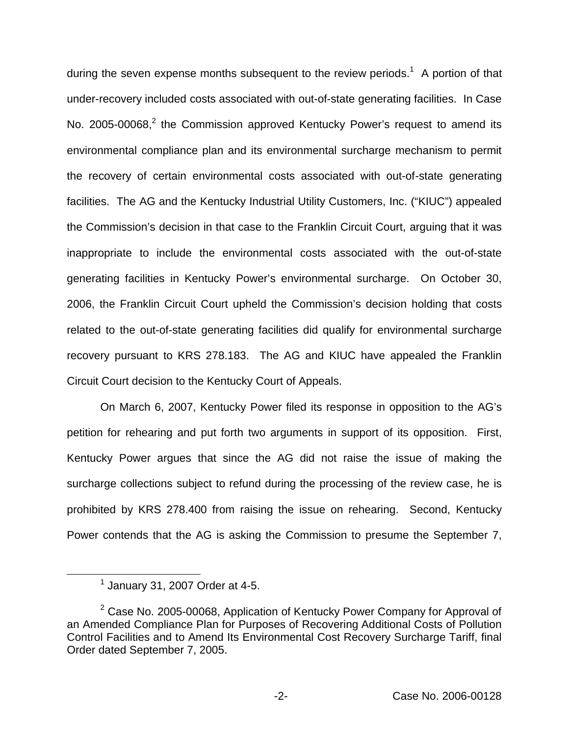during the seven expense months subsequent to the review periods.<sup>1</sup> A portion of that under-recovery included costs associated with out-of-state generating facilities. In Case No. 2005-00068,<sup>2</sup> the Commission approved Kentucky Power's request to amend its environmental compliance plan and its environmental surcharge mechanism to permit the recovery of certain environmental costs associated with out-of-state generating facilities. The AG and the Kentucky Industrial Utility Customers, Inc. ("KIUC") appealed the Commission's decision in that case to the Franklin Circuit Court, arguing that it was inappropriate to include the environmental costs associated with the out-of-state generating facilities in Kentucky Power's environmental surcharge. On October 30, 2006, the Franklin Circuit Court upheld the Commission's decision holding that costs related to the out-of-state generating facilities did qualify for environmental surcharge recovery pursuant to KRS 278.183. The AG and KIUC have appealed the Franklin Circuit Court decision to the Kentucky Court of Appeals.

On March 6, 2007, Kentucky Power filed its response in opposition to the AG's petition for rehearing and put forth two arguments in support of its opposition. First, Kentucky Power argues that since the AG did not raise the issue of making the surcharge collections subject to refund during the processing of the review case, he is prohibited by KRS 278.400 from raising the issue on rehearing. Second, Kentucky Power contends that the AG is asking the Commission to presume the September 7,

 $<sup>1</sup>$  January 31, 2007 Order at 4-5.</sup>

 $2$  Case No. 2005-00068, Application of Kentucky Power Company for Approval of an Amended Compliance Plan for Purposes of Recovering Additional Costs of Pollution Control Facilities and to Amend Its Environmental Cost Recovery Surcharge Tariff, final Order dated September 7, 2005.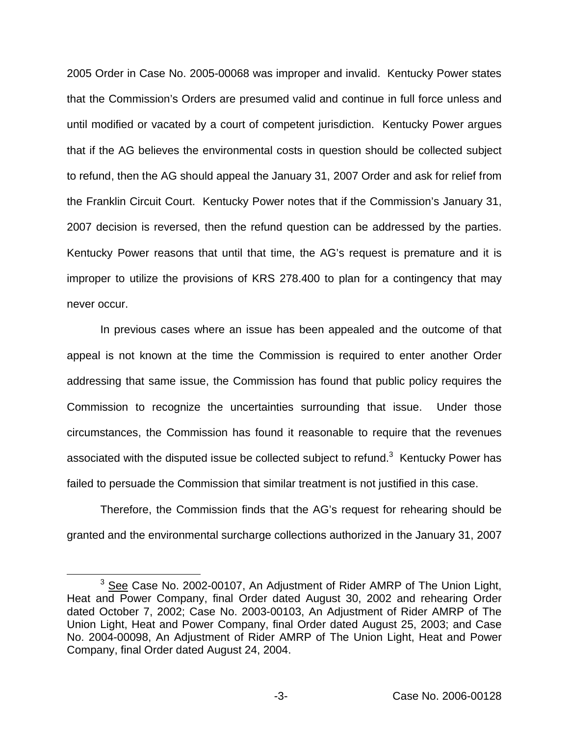2005 Order in Case No. 2005-00068 was improper and invalid. Kentucky Power states that the Commission's Orders are presumed valid and continue in full force unless and until modified or vacated by a court of competent jurisdiction. Kentucky Power argues that if the AG believes the environmental costs in question should be collected subject to refund, then the AG should appeal the January 31, 2007 Order and ask for relief from the Franklin Circuit Court. Kentucky Power notes that if the Commission's January 31, 2007 decision is reversed, then the refund question can be addressed by the parties. Kentucky Power reasons that until that time, the AG's request is premature and it is improper to utilize the provisions of KRS 278.400 to plan for a contingency that may never occur.

In previous cases where an issue has been appealed and the outcome of that appeal is not known at the time the Commission is required to enter another Order addressing that same issue, the Commission has found that public policy requires the Commission to recognize the uncertainties surrounding that issue. Under those circumstances, the Commission has found it reasonable to require that the revenues associated with the disputed issue be collected subject to refund. $3$  Kentucky Power has failed to persuade the Commission that similar treatment is not justified in this case.

Therefore, the Commission finds that the AG's request for rehearing should be granted and the environmental surcharge collections authorized in the January 31, 2007

<sup>&</sup>lt;sup>3</sup> See Case No. 2002-00107, An Adjustment of Rider AMRP of The Union Light, Heat and Power Company, final Order dated August 30, 2002 and rehearing Order dated October 7, 2002; Case No. 2003-00103, An Adjustment of Rider AMRP of The Union Light, Heat and Power Company, final Order dated August 25, 2003; and Case No. 2004-00098, An Adjustment of Rider AMRP of The Union Light, Heat and Power Company, final Order dated August 24, 2004.